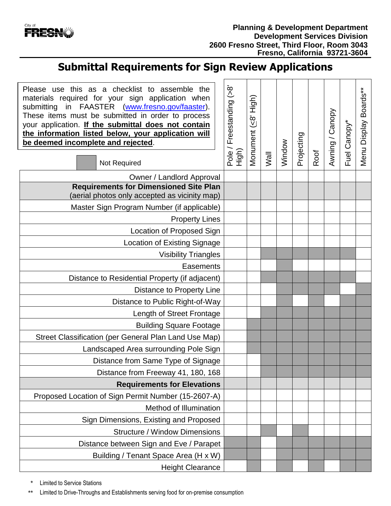

## **Submittal Requirements for Sign Review Applications**

 $\mathbf{r}$ 

| Please use this as a checklist to assemble the<br>materials required for your sign application when<br>in FAASTER (www.fresno.gov/faaster).<br>submitting<br>These items must be submitted in order to process<br>your application. If the submittal does not contain<br>the information listed below, your application will<br>be deemed incomplete and rejected.<br>Not Required | Freestanding (>8'<br>Pole/I<br><b>Aigh</b> | Monument (<8' High) | Wall | Window | Projecting | Roof | Awning / Canopy | Fuel Canopy* | Boards**<br>Menu Display |
|------------------------------------------------------------------------------------------------------------------------------------------------------------------------------------------------------------------------------------------------------------------------------------------------------------------------------------------------------------------------------------|--------------------------------------------|---------------------|------|--------|------------|------|-----------------|--------------|--------------------------|
| Owner / Landlord Approval                                                                                                                                                                                                                                                                                                                                                          |                                            |                     |      |        |            |      |                 |              |                          |
| <b>Requirements for Dimensioned Site Plan</b><br>(aerial photos only accepted as vicinity map)                                                                                                                                                                                                                                                                                     |                                            |                     |      |        |            |      |                 |              |                          |
| Master Sign Program Number (if applicable)                                                                                                                                                                                                                                                                                                                                         |                                            |                     |      |        |            |      |                 |              |                          |
| <b>Property Lines</b>                                                                                                                                                                                                                                                                                                                                                              |                                            |                     |      |        |            |      |                 |              |                          |
| Location of Proposed Sign                                                                                                                                                                                                                                                                                                                                                          |                                            |                     |      |        |            |      |                 |              |                          |
| Location of Existing Signage                                                                                                                                                                                                                                                                                                                                                       |                                            |                     |      |        |            |      |                 |              |                          |
| <b>Visibility Triangles</b>                                                                                                                                                                                                                                                                                                                                                        |                                            |                     |      |        |            |      |                 |              |                          |
| Easements                                                                                                                                                                                                                                                                                                                                                                          |                                            |                     |      |        |            |      |                 |              |                          |
| Distance to Residential Property (if adjacent)                                                                                                                                                                                                                                                                                                                                     |                                            |                     |      |        |            |      |                 |              |                          |
| Distance to Property Line                                                                                                                                                                                                                                                                                                                                                          |                                            |                     |      |        |            |      |                 |              |                          |
| Distance to Public Right-of-Way                                                                                                                                                                                                                                                                                                                                                    |                                            |                     |      |        |            |      |                 |              |                          |
| Length of Street Frontage                                                                                                                                                                                                                                                                                                                                                          |                                            |                     |      |        |            |      |                 |              |                          |
| <b>Building Square Footage</b>                                                                                                                                                                                                                                                                                                                                                     |                                            |                     |      |        |            |      |                 |              |                          |
| Street Classification (per General Plan Land Use Map)                                                                                                                                                                                                                                                                                                                              |                                            |                     |      |        |            |      |                 |              |                          |
| Landscaped Area surrounding Pole Sign                                                                                                                                                                                                                                                                                                                                              |                                            |                     |      |        |            |      |                 |              |                          |
| Distance from Same Type of Signage                                                                                                                                                                                                                                                                                                                                                 |                                            |                     |      |        |            |      |                 |              |                          |
| Distance from Freeway 41, 180, 168                                                                                                                                                                                                                                                                                                                                                 |                                            |                     |      |        |            |      |                 |              |                          |
| <b>Requirements for Elevations</b>                                                                                                                                                                                                                                                                                                                                                 |                                            |                     |      |        |            |      |                 |              |                          |
| Proposed Location of Sign Permit Number (15-2607-A)                                                                                                                                                                                                                                                                                                                                |                                            |                     |      |        |            |      |                 |              |                          |
| Method of Illumination                                                                                                                                                                                                                                                                                                                                                             |                                            |                     |      |        |            |      |                 |              |                          |
| Sign Dimensions, Existing and Proposed                                                                                                                                                                                                                                                                                                                                             |                                            |                     |      |        |            |      |                 |              |                          |
| <b>Structure / Window Dimensions</b>                                                                                                                                                                                                                                                                                                                                               |                                            |                     |      |        |            |      |                 |              |                          |
| Distance between Sign and Eve / Parapet                                                                                                                                                                                                                                                                                                                                            |                                            |                     |      |        |            |      |                 |              |                          |
| Building / Tenant Space Area (H x W)                                                                                                                                                                                                                                                                                                                                               |                                            |                     |      |        |            |      |                 |              |                          |
| <b>Height Clearance</b>                                                                                                                                                                                                                                                                                                                                                            |                                            |                     |      |        |            |      |                 |              |                          |

Limited to Service Stations

\*\* Limited to Drive-Throughs and Establishments serving food for on-premise consumption